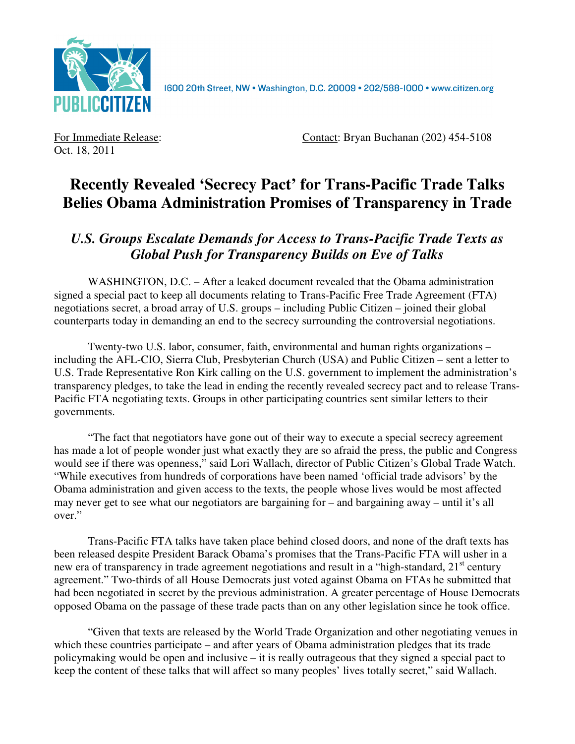

1600 20th Street, NW . Washington, D.C. 20009 . 202/588-1000 . www.citizen.org

Oct. 18, 2011

For Immediate Release: Contact: Bryan Buchanan (202) 454-5108

## **Recently Revealed 'Secrecy Pact' for Trans-Pacific Trade Talks Belies Obama Administration Promises of Transparency in Trade**

## *U.S. Groups Escalate Demands for Access to Trans-Pacific Trade Texts as Global Push for Transparency Builds on Eve of Talks*

WASHINGTON, D.C. – After a leaked document revealed that the Obama administration signed a special pact to keep all documents relating to Trans-Pacific Free Trade Agreement (FTA) negotiations secret, a broad array of U.S. groups – including Public Citizen – joined their global counterparts today in demanding an end to the secrecy surrounding the controversial negotiations.

Twenty-two U.S. labor, consumer, faith, environmental and human rights organizations – including the AFL-CIO, Sierra Club, Presbyterian Church (USA) and Public Citizen – sent a letter to U.S. Trade Representative Ron Kirk calling on the U.S. government to implement the administration's transparency pledges, to take the lead in ending the recently revealed secrecy pact and to release Trans-Pacific FTA negotiating texts. Groups in other participating countries sent similar letters to their governments.

"The fact that negotiators have gone out of their way to execute a special secrecy agreement has made a lot of people wonder just what exactly they are so afraid the press, the public and Congress would see if there was openness," said Lori Wallach, director of Public Citizen's Global Trade Watch. "While executives from hundreds of corporations have been named 'official trade advisors' by the Obama administration and given access to the texts, the people whose lives would be most affected may never get to see what our negotiators are bargaining for – and bargaining away – until it's all over."

Trans-Pacific FTA talks have taken place behind closed doors, and none of the draft texts has been released despite President Barack Obama's promises that the Trans-Pacific FTA will usher in a new era of transparency in trade agreement negotiations and result in a "high-standard, 21<sup>st</sup> century agreement." Two-thirds of all House Democrats just voted against Obama on FTAs he submitted that had been negotiated in secret by the previous administration. A greater percentage of House Democrats opposed Obama on the passage of these trade pacts than on any other legislation since he took office.

"Given that texts are released by the World Trade Organization and other negotiating venues in which these countries participate – and after years of Obama administration pledges that its trade policymaking would be open and inclusive – it is really outrageous that they signed a special pact to keep the content of these talks that will affect so many peoples' lives totally secret," said Wallach.